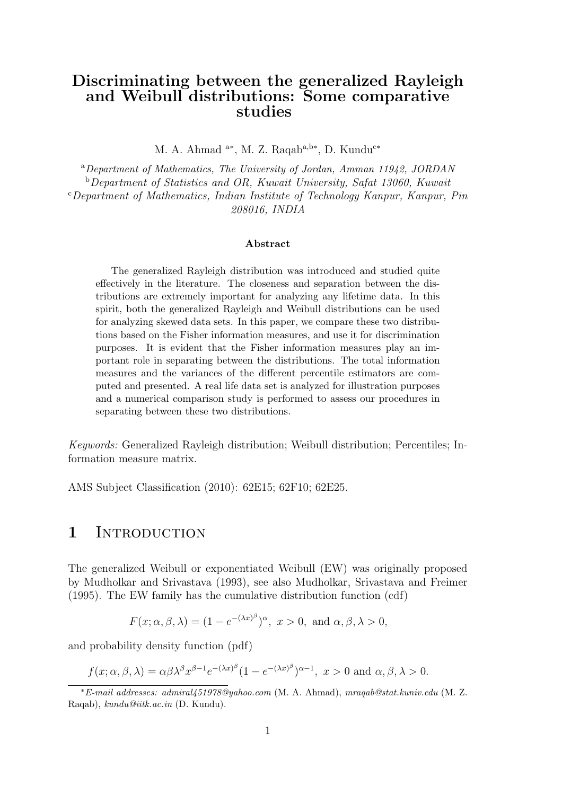## Discriminating between the generalized Rayleigh and Weibull distributions: Some comparative studies

M. A. Ahmad <sup>a\*</sup>, M. Z. Raqab<sup>a,b\*</sup>, D. Kundu<sup>c\*</sup>

<sup>a</sup>*Department of Mathematics, The University of Jordan, Amman 11942, JORDAN* <sup>b</sup>*Department of Statistics and OR, Kuwait University, Safat 13060, Kuwait* <sup>c</sup>*Department of Mathematics, Indian Institute of Technology Kanpur, Kanpur, Pin 208016, INDIA*

#### Abstract

The generalized Rayleigh distribution was introduced and studied quite effectively in the literature. The closeness and separation between the distributions are extremely important for analyzing any lifetime data. In this spirit, both the generalized Rayleigh and Weibull distributions can be used for analyzing skewed data sets. In this paper, we compare these two distributions based on the Fisher information measures, and use it for discrimination purposes. It is evident that the Fisher information measures play an important role in separating between the distributions. The total information measures and the variances of the different percentile estimators are computed and presented. A real life data set is analyzed for illustration purposes and a numerical comparison study is performed to assess our procedures in separating between these two distributions.

*Keywords:* Generalized Rayleigh distribution; Weibull distribution; Percentiles; Information measure matrix.

AMS Subject Classification (2010): 62E15; 62F10; 62E25.

#### 1 INTRODUCTION

The generalized Weibull or exponentiated Weibull (EW) was originally proposed by Mudholkar and Srivastava (1993), see also Mudholkar, Srivastava and Freimer (1995). The EW family has the cumulative distribution function (cdf)

$$
F(x; \alpha, \beta, \lambda) = (1 - e^{-(\lambda x)^{\beta}})^{\alpha}, \ x > 0, \text{ and } \alpha, \beta, \lambda > 0,
$$

and probability density function (pdf)

$$
f(x; \alpha, \beta, \lambda) = \alpha \beta \lambda^{\beta} x^{\beta - 1} e^{-(\lambda x)^{\beta}} (1 - e^{-(\lambda x)^{\beta}})^{\alpha - 1}, x > 0 \text{ and } \alpha, \beta, \lambda > 0.
$$

<sup>∗</sup>*E-mail addresses: admiral451978@yahoo.com* (M. A. Ahmad), *mraqab@stat.kuniv.edu* (M. Z. Raqab), *kundu@iitk.ac.in* (D. Kundu).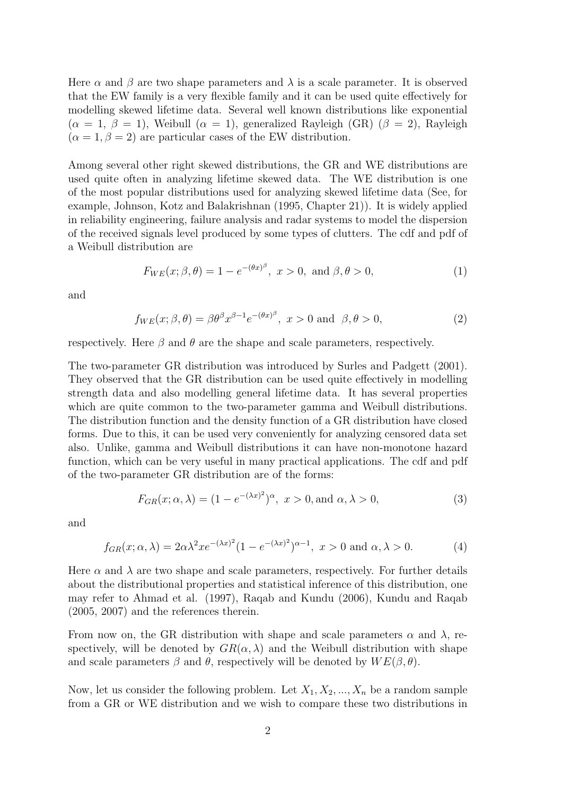Here  $\alpha$  and  $\beta$  are two shape parameters and  $\lambda$  is a scale parameter. It is observed that the EW family is a very flexible family and it can be used quite effectively for modelling skewed lifetime data. Several well known distributions like exponential  $(\alpha = 1, \beta = 1)$ , Weibull  $(\alpha = 1)$ , generalized Rayleigh (GR)  $(\beta = 2)$ , Rayleigh  $(\alpha = 1, \beta = 2)$  are particular cases of the EW distribution.

Among several other right skewed distributions, the GR and WE distributions are used quite often in analyzing lifetime skewed data. The WE distribution is one of the most popular distributions used for analyzing skewed lifetime data (See, for example, Johnson, Kotz and Balakrishnan (1995, Chapter 21)). It is widely applied in reliability engineering, failure analysis and radar systems to model the dispersion of the received signals level produced by some types of clutters. The cdf and pdf of a Weibull distribution are

$$
F_{WE}(x; \beta, \theta) = 1 - e^{-(\theta x)^{\beta}}, \ x > 0, \text{ and } \beta, \theta > 0,
$$
 (1)

and

$$
f_{WE}(x; \beta, \theta) = \beta \theta^{\beta} x^{\beta - 1} e^{-(\theta x)^{\beta}}, \ x > 0 \text{ and } \beta, \theta > 0,
$$
 (2)

respectively. Here  $\beta$  and  $\theta$  are the shape and scale parameters, respectively.

The two-parameter GR distribution was introduced by Surles and Padgett (2001). They observed that the GR distribution can be used quite effectively in modelling strength data and also modelling general lifetime data. It has several properties which are quite common to the two-parameter gamma and Weibull distributions. The distribution function and the density function of a GR distribution have closed forms. Due to this, it can be used very conveniently for analyzing censored data set also. Unlike, gamma and Weibull distributions it can have non-monotone hazard function, which can be very useful in many practical applications. The cdf and pdf of the two-parameter GR distribution are of the forms:

$$
F_{GR}(x; \alpha, \lambda) = (1 - e^{-(\lambda x)^2})^{\alpha}, \ x > 0, \text{and } \alpha, \lambda > 0,
$$
 (3)

and

$$
f_{GR}(x; \alpha, \lambda) = 2\alpha\lambda^2 x e^{-(\lambda x)^2} (1 - e^{-(\lambda x)^2})^{\alpha - 1}, \ x > 0 \text{ and } \alpha, \lambda > 0.
$$
 (4)

Here  $\alpha$  and  $\lambda$  are two shape and scale parameters, respectively. For further details about the distributional properties and statistical inference of this distribution, one may refer to Ahmad et al. (1997), Raqab and Kundu (2006), Kundu and Raqab (2005, 2007) and the references therein.

From now on, the GR distribution with shape and scale parameters  $\alpha$  and  $\lambda$ , respectively, will be denoted by  $GR(\alpha, \lambda)$  and the Weibull distribution with shape and scale parameters  $\beta$  and  $\theta$ , respectively will be denoted by  $WE(\beta, \theta)$ .

Now, let us consider the following problem. Let  $X_1, X_2, ..., X_n$  be a random sample from a GR or WE distribution and we wish to compare these two distributions in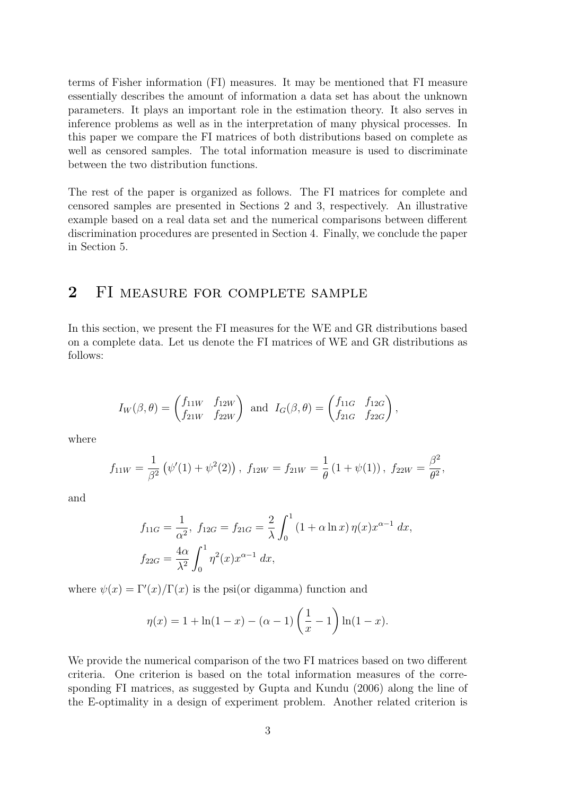terms of Fisher information (FI) measures. It may be mentioned that FI measure essentially describes the amount of information a data set has about the unknown parameters. It plays an important role in the estimation theory. It also serves in inference problems as well as in the interpretation of many physical processes. In this paper we compare the FI matrices of both distributions based on complete as well as censored samples. The total information measure is used to discriminate between the two distribution functions.

The rest of the paper is organized as follows. The FI matrices for complete and censored samples are presented in Sections 2 and 3, respectively. An illustrative example based on a real data set and the numerical comparisons between different discrimination procedures are presented in Section 4. Finally, we conclude the paper in Section 5.

#### 2 FI MEASURE FOR COMPLETE SAMPLE

In this section, we present the FI measures for the WE and GR distributions based on a complete data. Let us denote the FI matrices of WE and GR distributions as follows:

$$
I_W(\beta,\theta) = \begin{pmatrix} f_{11W} & f_{12W} \\ f_{21W} & f_{22W} \end{pmatrix} \text{ and } I_G(\beta,\theta) = \begin{pmatrix} f_{11G} & f_{12G} \\ f_{21G} & f_{22G} \end{pmatrix},
$$

where

$$
f_{11W} = \frac{1}{\beta^2} (\psi'(1) + \psi^2(2)), f_{12W} = f_{21W} = \frac{1}{\theta} (1 + \psi(1)), f_{22W} = \frac{\beta^2}{\theta^2},
$$

and

$$
f_{11G} = \frac{1}{\alpha^2}, \ f_{12G} = f_{21G} = \frac{2}{\lambda} \int_0^1 (1 + \alpha \ln x) \eta(x) x^{\alpha - 1} dx,
$$
  

$$
f_{22G} = \frac{4\alpha}{\lambda^2} \int_0^1 \eta^2(x) x^{\alpha - 1} dx,
$$

where  $\psi(x) = \Gamma'(x)/\Gamma(x)$  is the psi(or digamma) function and

$$
\eta(x) = 1 + \ln(1 - x) - (\alpha - 1) \left(\frac{1}{x} - 1\right) \ln(1 - x).
$$

We provide the numerical comparison of the two FI matrices based on two different criteria. One criterion is based on the total information measures of the corresponding FI matrices, as suggested by Gupta and Kundu (2006) along the line of the E-optimality in a design of experiment problem. Another related criterion is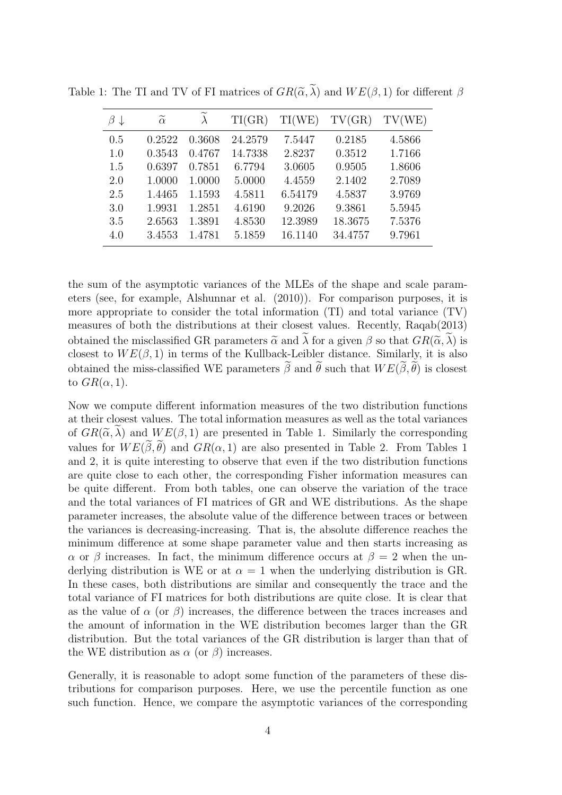| $\beta \downarrow$ | $\widetilde{\alpha}$ |        | TI(GR)  | TI(WE)  | TV(GR)  | TV(WE) |
|--------------------|----------------------|--------|---------|---------|---------|--------|
| 0.5                | 0.2522               | 0.3608 | 24.2579 | 7.5447  | 0.2185  | 4.5866 |
| 1.0                | 0.3543               | 0.4767 | 14.7338 | 2.8237  | 0.3512  | 1.7166 |
| 1.5                | 0.6397               | 0.7851 | 6.7794  | 3.0605  | 0.9505  | 1.8606 |
| 2.0                | 1.0000               | 1.0000 | 5.0000  | 4.4559  | 2.1402  | 2.7089 |
| 2.5                | 1.4465               | 1.1593 | 4.5811  | 6.54179 | 4.5837  | 3.9769 |
| 3.0                | 1.9931               | 1.2851 | 4.6190  | 9.2026  | 9.3861  | 5.5945 |
| 3.5                | 2.6563               | 1.3891 | 4.8530  | 12.3989 | 18.3675 | 7.5376 |
| 4.0                | 3.4553               | 1.4781 | 5.1859  | 16.1140 | 34.4757 | 9.7961 |

Table 1: The TI and TV of FI matrices of  $GR(\tilde{\alpha}, \tilde{\lambda})$  and  $WE(\beta, 1)$  for different  $\beta$ 

the sum of the asymptotic variances of the MLEs of the shape and scale parameters (see, for example, Alshunnar et al. (2010)). For comparison purposes, it is more appropriate to consider the total information (TI) and total variance (TV) measures of both the distributions at their closest values. Recently, Raqab(2013) obtained the misclassified GR parameters  $\tilde{\alpha}$  and  $\lambda$  for a given  $\beta$  so that  $GR(\tilde{\alpha}, \lambda)$  is closest to  $WE(\beta, 1)$  in terms of the Kullback-Leibler distance. Similarly, it is also obtained the miss-classified WE parameters  $\tilde{\beta}$  and  $\tilde{\theta}$  such that  $WE(\tilde{\beta}, \tilde{\theta})$  is closest to  $GR(\alpha, 1)$ .

Now we compute different information measures of the two distribution functions at their closest values. The total information measures as well as the total variances of  $GR(\tilde{\alpha}, \lambda)$  and  $WE(\beta, 1)$  are presented in Table 1. Similarly the corresponding values for  $WE(\beta, \theta)$  and  $GR(\alpha, 1)$  are also presented in Table 2. From Tables 1 and 2, it is quite interesting to observe that even if the two distribution functions are quite close to each other, the corresponding Fisher information measures can be quite different. From both tables, one can observe the variation of the trace and the total variances of FI matrices of GR and WE distributions. As the shape parameter increases, the absolute value of the difference between traces or between the variances is decreasing-increasing. That is, the absolute difference reaches the minimum difference at some shape parameter value and then starts increasing as  $\alpha$  or  $\beta$  increases. In fact, the minimum difference occurs at  $\beta = 2$  when the underlying distribution is WE or at  $\alpha = 1$  when the underlying distribution is GR. In these cases, both distributions are similar and consequently the trace and the total variance of FI matrices for both distributions are quite close. It is clear that as the value of  $\alpha$  (or  $\beta$ ) increases, the difference between the traces increases and the amount of information in the WE distribution becomes larger than the GR distribution. But the total variances of the GR distribution is larger than that of the WE distribution as  $\alpha$  (or  $\beta$ ) increases.

Generally, it is reasonable to adopt some function of the parameters of these distributions for comparison purposes. Here, we use the percentile function as one such function. Hence, we compare the asymptotic variances of the corresponding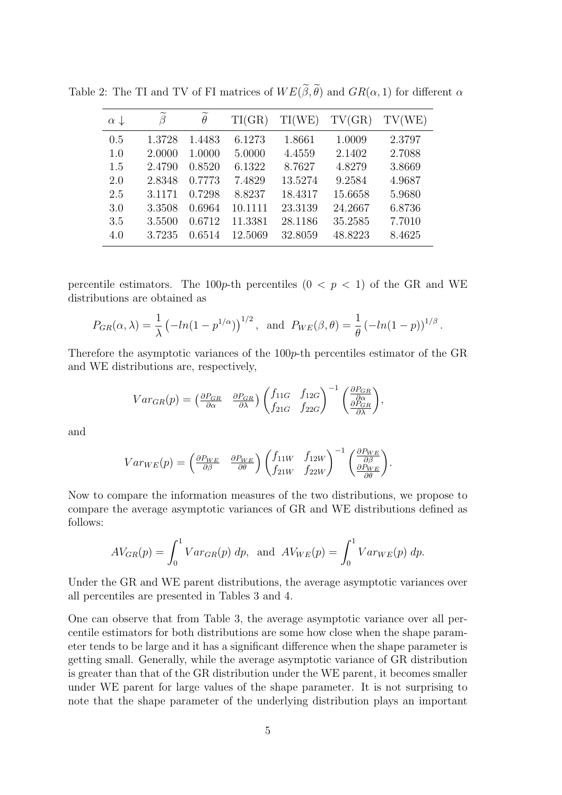| $\alpha \downarrow$ | ß      | $\widetilde{\theta}$ | TI(GR)  | TI(WE)  | TV(GR)  | TV(WE) |
|---------------------|--------|----------------------|---------|---------|---------|--------|
| 0.5                 | 1.3728 | 1.4483               | 6.1273  | 1.8661  | 1.0009  | 2.3797 |
| 1.0                 | 2.0000 | 1.0000               | 5.0000  | 4.4559  | 2.1402  | 2.7088 |
| 1.5                 | 2.4790 | 0.8520               | 6.1322  | 8.7627  | 4.8279  | 3.8669 |
| 2.0                 | 2.8348 | 0.7773               | 7.4829  | 13.5274 | 9.2584  | 4.9687 |
| 2.5                 | 3.1171 | 0.7298               | 8.8237  | 18.4317 | 15.6658 | 5.9680 |
| 3.0                 | 3.3508 | 0.6964               | 10.1111 | 23.3139 | 24.2667 | 6.8736 |
| 3.5                 | 3.5500 | 0.6712               | 11.3381 | 28.1186 | 35.2585 | 7.7010 |
| 4.0                 | 3.7235 | 0.6514               | 12.5069 | 32.8059 | 48.8223 | 8.4625 |

Table 2: The TI and TV of FI matrices of  $WE(\tilde{\beta}, \tilde{\theta})$  and  $GR(\alpha, 1)$  for different  $\alpha$ 

percentile estimators. The 100p-th percentiles  $(0 < p < 1)$  of the GR and WE distributions are obtained as

$$
P_{GR}(\alpha, \lambda) = \frac{1}{\lambda} \left( -\ln(1 - p^{1/\alpha}) \right)^{1/2}
$$
, and  $P_{WE}(\beta, \theta) = \frac{1}{\theta} \left( -\ln(1 - p) \right)^{1/\beta}$ .

Therefore the asymptotic variances of the 100p-th percentiles estimator of the GR and WE distributions are, respectively,

,

.

$$
Var_{GR}(p) = \begin{pmatrix} \frac{\partial P_{GR}}{\partial \alpha} & \frac{\partial P_{GR}}{\partial \lambda} \end{pmatrix} \begin{pmatrix} f_{11G} & f_{12G} \\ f_{21G} & f_{22G} \end{pmatrix}^{-1} \begin{pmatrix} \frac{\partial P_{GR}}{\partial \alpha} \\ \frac{\partial P_{GR}}{\partial \lambda} \end{pmatrix}
$$

and

$$
Var_{WE}(p) = \begin{pmatrix} \frac{\partial P_{WE}}{\partial \beta} & \frac{\partial P_{WE}}{\partial \theta} \end{pmatrix} \begin{pmatrix} f_{11W} & f_{12W} \\ f_{21W} & f_{22W} \end{pmatrix}^{-1} \begin{pmatrix} \frac{\partial P_{WE}}{\partial \beta} \\ \frac{\partial P_{WE}}{\partial \theta} \end{pmatrix}
$$

Now to compare the information measures of the two distributions, we propose to compare the average asymptotic variances of GR and WE distributions defined as follows:

$$
AV_{GR}(p) = \int_0^1 Var_{GR}(p) \, dp, \text{ and } AV_{WE}(p) = \int_0^1 Var_{WE}(p) \, dp.
$$

Under the GR and WE parent distributions, the average asymptotic variances over all percentiles are presented in Tables 3 and 4.

One can observe that from Table 3, the average asymptotic variance over all percentile estimators for both distributions are some how close when the shape parameter tends to be large and it has a significant difference when the shape parameter is getting small. Generally, while the average asymptotic variance of GR distribution is greater than that of the GR distribution under the WE parent, it becomes smaller under WE parent for large values of the shape parameter. It is not surprising to note that the shape parameter of the underlying distribution plays an important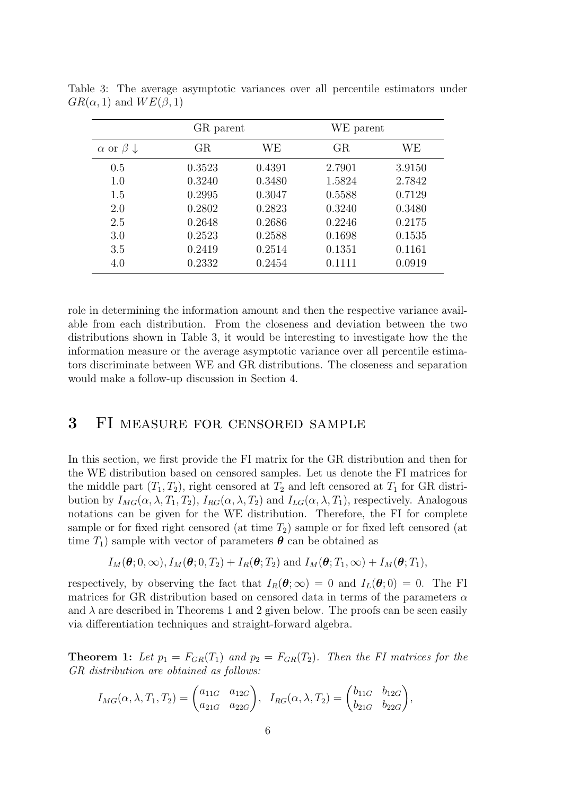|                                | GR parent |        | WE parent |        |
|--------------------------------|-----------|--------|-----------|--------|
| $\alpha$ or $\beta \downarrow$ | GR        | WЕ     | GR        | WЕ     |
| 0.5                            | 0.3523    | 0.4391 | 2.7901    | 3.9150 |
| 1.0                            | 0.3240    | 0.3480 | 1.5824    | 2.7842 |
| 1.5                            | 0.2995    | 0.3047 | 0.5588    | 0.7129 |
| 2.0                            | 0.2802    | 0.2823 | 0.3240    | 0.3480 |
| 2.5                            | 0.2648    | 0.2686 | 0.2246    | 0.2175 |
| 3.0                            | 0.2523    | 0.2588 | 0.1698    | 0.1535 |
| 3.5                            | 0.2419    | 0.2514 | 0.1351    | 0.1161 |
| 4.0                            | 0.2332    | 0.2454 | 0.1111    | 0.0919 |

Table 3: The average asymptotic variances over all percentile estimators under  $GR(\alpha, 1)$  and  $WE(\beta, 1)$ 

role in determining the information amount and then the respective variance available from each distribution. From the closeness and deviation between the two distributions shown in Table 3, it would be interesting to investigate how the the information measure or the average asymptotic variance over all percentile estimators discriminate between WE and GR distributions. The closeness and separation would make a follow-up discussion in Section 4.

## 3 FI measure for censored sample

In this section, we first provide the FI matrix for the GR distribution and then for the WE distribution based on censored samples. Let us denote the FI matrices for the middle part  $(T_1, T_2)$ , right censored at  $T_2$  and left censored at  $T_1$  for GR distribution by  $I_{MG}(\alpha, \lambda, T_1, T_2)$ ,  $I_{RG}(\alpha, \lambda, T_2)$  and  $I_{LG}(\alpha, \lambda, T_1)$ , respectively. Analogous notations can be given for the WE distribution. Therefore, the FI for complete sample or for fixed right censored (at time  $T_2$ ) sample or for fixed left censored (at time  $T_1$ ) sample with vector of parameters  $\boldsymbol{\theta}$  can be obtained as

$$
I_M(\boldsymbol{\theta};0,\infty), I_M(\boldsymbol{\theta};0,T_2) + I_R(\boldsymbol{\theta};T_2)
$$
 and  $I_M(\boldsymbol{\theta};T_1,\infty) + I_M(\boldsymbol{\theta};T_1)$ ,

respectively, by observing the fact that  $I_R(\theta; \infty) = 0$  and  $I_L(\theta; 0) = 0$ . The FI matrices for GR distribution based on censored data in terms of the parameters  $\alpha$ and  $\lambda$  are described in Theorems 1 and 2 given below. The proofs can be seen easily via differentiation techniques and straight-forward algebra.

**Theorem 1:** Let  $p_1 = F_{GR}(T_1)$  and  $p_2 = F_{GR}(T_2)$ . Then the FI matrices for the *GR distribution are obtained as follows:*

$$
I_{MG}(\alpha, \lambda, T_1, T_2) = \begin{pmatrix} a_{11G} & a_{12G} \\ a_{21G} & a_{22G} \end{pmatrix}, \quad I_{RG}(\alpha, \lambda, T_2) = \begin{pmatrix} b_{11G} & b_{12G} \\ b_{21G} & b_{22G} \end{pmatrix},
$$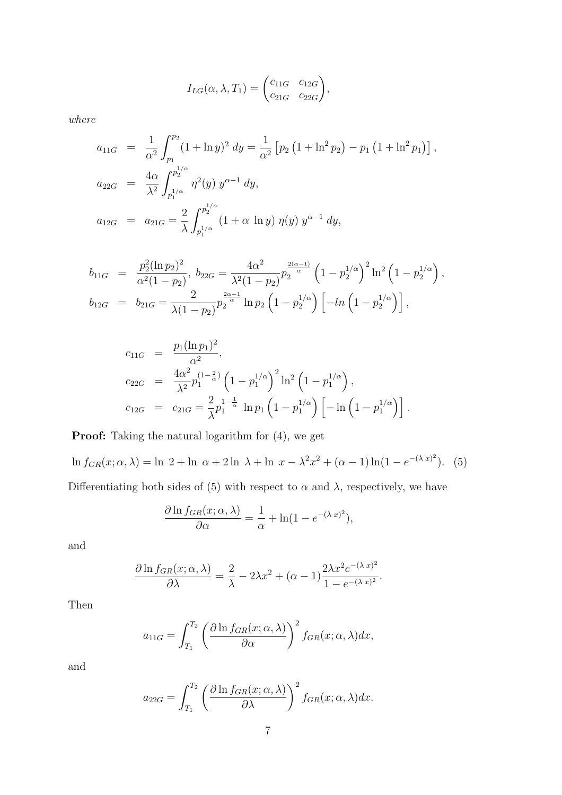$$
I_{LG}(\alpha, \lambda, T_1) = \begin{pmatrix} c_{11G} & c_{12G} \\ c_{21G} & c_{22G} \end{pmatrix},
$$

*where*

$$
a_{11G} = \frac{1}{\alpha^2} \int_{p_1}^{p_2} (1 + \ln y)^2 dy = \frac{1}{\alpha^2} \left[ p_2 \left( 1 + \ln^2 p_2 \right) - p_1 \left( 1 + \ln^2 p_1 \right) \right],
$$
  
\n
$$
a_{22G} = \frac{4\alpha}{\lambda^2} \int_{p_1^{1/\alpha}}^{p_2^{1/\alpha}} \eta^2(y) y^{\alpha - 1} dy,
$$
  
\n
$$
a_{12G} = a_{21G} = \frac{2}{\lambda} \int_{p_1^{1/\alpha}}^{p_2^{1/\alpha}} (1 + \alpha \ln y) \eta(y) y^{\alpha - 1} dy,
$$

$$
b_{11G} = \frac{p_2^2 (\ln p_2)^2}{\alpha^2 (1 - p_2)}, \ b_{22G} = \frac{4\alpha^2}{\lambda^2 (1 - p_2)} p_2^{\frac{2(\alpha - 1)}{\alpha}} \left(1 - p_2^{1/\alpha}\right)^2 \ln^2\left(1 - p_2^{1/\alpha}\right),
$$
  
\n
$$
b_{12G} = b_{21G} = \frac{2}{\lambda (1 - p_2)} p_2^{\frac{2\alpha - 1}{\alpha}} \ln p_2 \left(1 - p_2^{1/\alpha}\right) \left[-\ln\left(1 - p_2^{1/\alpha}\right)\right],
$$

$$
c_{11G} = \frac{p_1(\ln p_1)^2}{\alpha^2},
$$
  
\n
$$
c_{22G} = \frac{4\alpha^2}{\lambda^2} p_1^{(1-\frac{2}{\alpha})} \left(1 - p_1^{1/\alpha}\right)^2 \ln^2\left(1 - p_1^{1/\alpha}\right),
$$
  
\n
$$
c_{12G} = c_{21G} = \frac{2}{\lambda} p_1^{1-\frac{1}{\alpha}} \ln p_1 \left(1 - p_1^{1/\alpha}\right) \left[-\ln\left(1 - p_1^{1/\alpha}\right)\right].
$$

Proof: Taking the natural logarithm for  $(4)$ , we get

ln  $f_{GR}(x; \alpha, \lambda) = \ln 2 + \ln \alpha + 2 \ln \lambda + \ln x - \lambda^2 x^2 + (\alpha - 1) \ln(1 - e^{-(\lambda x)^2}).$  (5) Differentiating both sides of (5) with respect to  $\alpha$  and  $\lambda$ , respectively, we have

$$
\frac{\partial \ln f_{GR}(x; \alpha, \lambda)}{\partial \alpha} = \frac{1}{\alpha} + \ln(1 - e^{-(\lambda x)^2}),
$$

and

$$
\frac{\partial \ln f_{GR}(x; \alpha, \lambda)}{\partial \lambda} = \frac{2}{\lambda} - 2\lambda x^2 + (\alpha - 1) \frac{2\lambda x^2 e^{-(\lambda x)^2}}{1 - e^{-(\lambda x)^2}}.
$$

Then

$$
a_{11G} = \int_{T_1}^{T_2} \left( \frac{\partial \ln f_{GR}(x; \alpha, \lambda)}{\partial \alpha} \right)^2 f_{GR}(x; \alpha, \lambda) dx,
$$

and

$$
a_{22G} = \int_{T_1}^{T_2} \left( \frac{\partial \ln f_{GR}(x; \alpha, \lambda)}{\partial \lambda} \right)^2 f_{GR}(x; \alpha, \lambda) dx.
$$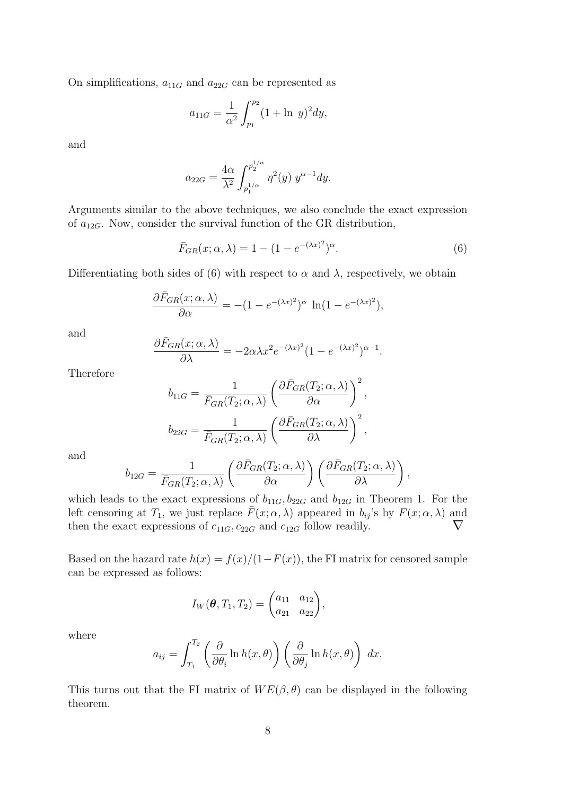On simplifications,  $a_{11G}$  and  $a_{22G}$  can be represented as

$$
a_{11G} = \frac{1}{\alpha^2} \int_{p_1}^{p_2} (1 + \ln y)^2 dy,
$$

and

$$
a_{22G} = \frac{4\alpha}{\lambda^2} \int_{p_1^{1/\alpha}}^{p_2^{1/\alpha}} \eta^2(y) y^{\alpha - 1} dy.
$$

Arguments similar to the above techniques, we also conclude the exact expression of  $a_{12G}$ . Now, consider the survival function of the GR distribution,

$$
\bar{F}_{GR}(x; \alpha, \lambda) = 1 - (1 - e^{-(\lambda x)^2})^{\alpha}.
$$
\n
$$
(6)
$$

Differentiating both sides of (6) with respect to  $\alpha$  and  $\lambda$ , respectively, we obtain

$$
\frac{\partial \bar{F}_{GR}(x;\alpha,\lambda)}{\partial \alpha} = -(1 - e^{-(\lambda x)^2})^{\alpha} \ln(1 - e^{-(\lambda x)^2}),
$$

and

$$
\frac{\partial \bar{F}_{GR}(x;\alpha,\lambda)}{\partial \lambda} = -2\alpha \lambda x^2 e^{-(\lambda x)^2} (1 - e^{-(\lambda x)^2})^{\alpha - 1}.
$$

Therefore

$$
b_{11G} = \frac{1}{\bar{F}_{GR}(T_2; \alpha, \lambda)} \left( \frac{\partial \bar{F}_{GR}(T_2; \alpha, \lambda)}{\partial \alpha} \right)^2,
$$
  

$$
b_{22G} = \frac{1}{\bar{F}_{GR}(T_2; \alpha, \lambda)} \left( \frac{\partial \bar{F}_{GR}(T_2; \alpha, \lambda)}{\partial \lambda} \right)^2,
$$

and

$$
b_{12G} = \frac{1}{\bar{F}_{GR}(T_2; \alpha, \lambda)} \left( \frac{\partial \bar{F}_{GR}(T_2; \alpha, \lambda)}{\partial \alpha} \right) \left( \frac{\partial \bar{F}_{GR}(T_2; \alpha, \lambda)}{\partial \lambda} \right),
$$

which leads to the exact expressions of  $b_{11G}$ ,  $b_{22G}$  and  $b_{12G}$  in Theorem 1. For the left censoring at  $T_1$ , we just replace  $\bar{F}(x; \alpha, \lambda)$  appeared in  $b_{ij}$ 's by  $F(x; \alpha, \lambda)$  and then the exact expressions of  $c_{11G}$ ,  $c_{22G}$  and  $c_{12G}$  follow readily.  $\nabla$ 

Based on the hazard rate  $h(x) = f(x)/(1-F(x))$ , the FI matrix for censored sample can be expressed as follows:

$$
I_W(\boldsymbol{\theta}, T_1, T_2) = \begin{pmatrix} a_{11} & a_{12} \\ a_{21} & a_{22} \end{pmatrix},
$$

where

$$
a_{ij} = \int_{T_1}^{T_2} \left( \frac{\partial}{\partial \theta_i} \ln h(x, \theta) \right) \left( \frac{\partial}{\partial \theta_j} \ln h(x, \theta) \right) dx.
$$

This turns out that the FI matrix of  $WE(\beta, \theta)$  can be displayed in the following theorem.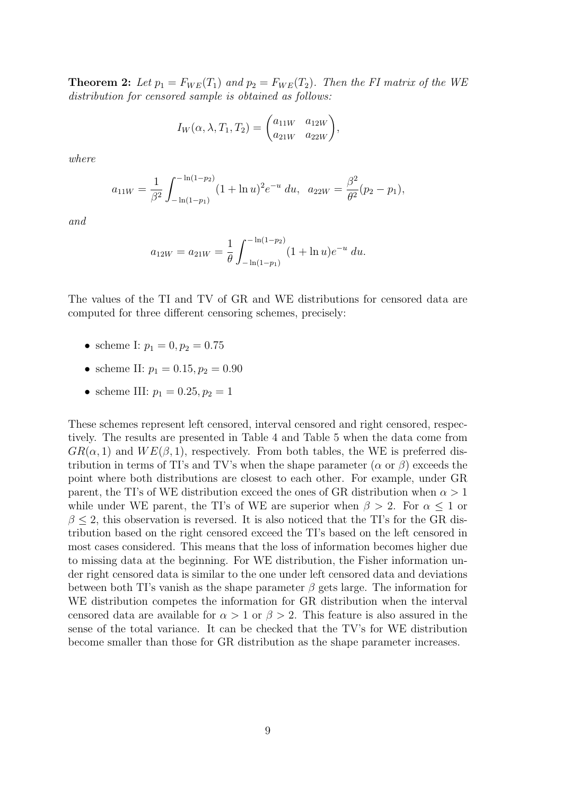**Theorem 2:** Let  $p_1 = F_{WE}(T_1)$  and  $p_2 = F_{WE}(T_2)$ . Then the FI matrix of the WE *distribution for censored sample is obtained as follows:*

$$
I_W(\alpha, \lambda, T_1, T_2) = \begin{pmatrix} a_{11W} & a_{12W} \\ a_{21W} & a_{22W} \end{pmatrix},
$$

*where*

$$
a_{11W} = \frac{1}{\beta^2} \int_{-\ln(1-p_1)}^{-\ln(1-p_2)} (1 + \ln u)^2 e^{-u} du, \ \ a_{22W} = \frac{\beta^2}{\theta^2} (p_2 - p_1),
$$

*and*

$$
a_{12W} = a_{21W} = \frac{1}{\theta} \int_{-\ln(1-p_1)}^{-\ln(1-p_2)} (1 + \ln u)e^{-u} du.
$$

The values of the TI and TV of GR and WE distributions for censored data are computed for three different censoring schemes, precisely:

- scheme I:  $p_1 = 0, p_2 = 0.75$
- scheme II:  $p_1 = 0.15, p_2 = 0.90$
- scheme III:  $p_1 = 0.25, p_2 = 1$

These schemes represent left censored, interval censored and right censored, respectively. The results are presented in Table 4 and Table 5 when the data come from  $GR(\alpha, 1)$  and  $WE(\beta, 1)$ , respectively. From both tables, the WE is preferred distribution in terms of TI's and TV's when the shape parameter ( $\alpha$  or  $\beta$ ) exceeds the point where both distributions are closest to each other. For example, under GR parent, the TI's of WE distribution exceed the ones of GR distribution when  $\alpha > 1$ while under WE parent, the TI's of WE are superior when  $\beta > 2$ . For  $\alpha \leq 1$  or  $\beta \leq 2$ , this observation is reversed. It is also noticed that the TI's for the GR distribution based on the right censored exceed the TI's based on the left censored in most cases considered. This means that the loss of information becomes higher due to missing data at the beginning. For WE distribution, the Fisher information under right censored data is similar to the one under left censored data and deviations between both TI's vanish as the shape parameter  $\beta$  gets large. The information for WE distribution competes the information for GR distribution when the interval censored data are available for  $\alpha > 1$  or  $\beta > 2$ . This feature is also assured in the sense of the total variance. It can be checked that the TV's for WE distribution become smaller than those for GR distribution as the shape parameter increases.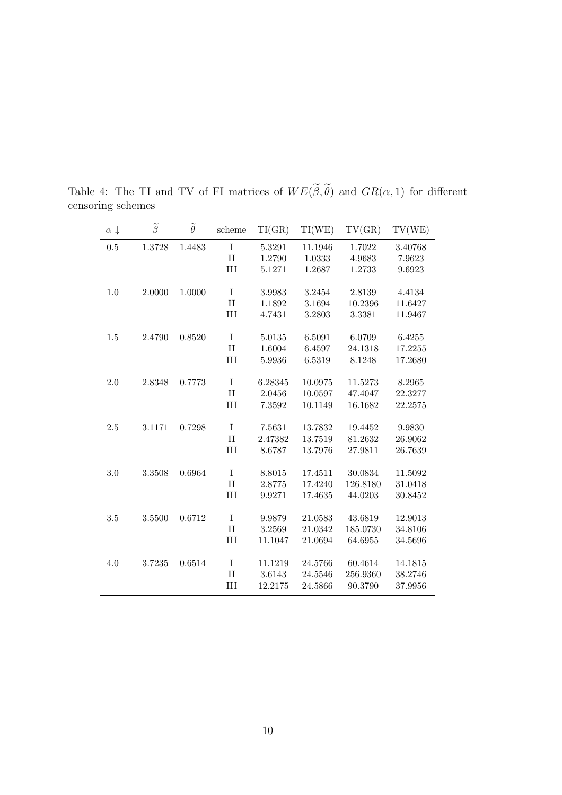| $\alpha \downarrow$ | $\widetilde{\beta}$ | $\widetilde{\theta}$ | scheme        | TI(GR)  | TI(WE)  | TV(GR)   | TV(WE)  |
|---------------------|---------------------|----------------------|---------------|---------|---------|----------|---------|
| 0.5                 | 1.3728              | 1.4483               | $\rm I$       | 5.3291  | 11.1946 | 1.7022   | 3.40768 |
|                     |                     |                      | $\mathbf{II}$ | 1.2790  | 1.0333  | 4.9683   | 7.9623  |
|                     |                     |                      | III           | 5.1271  | 1.2687  | 1.2733   | 9.6923  |
|                     |                     |                      |               |         |         |          |         |
| 1.0                 | $2.0000\,$          | 1.0000               | $\rm I$       | 3.9983  | 3.2454  | 2.8139   | 4.4134  |
|                     |                     |                      | $\mathbf{II}$ | 1.1892  | 3.1694  | 10.2396  | 11.6427 |
|                     |                     |                      | III           | 4.7431  | 3.2803  | 3.3381   | 11.9467 |
|                     |                     |                      |               |         |         |          |         |
| 1.5                 | 2.4790              | 0.8520               | $\rm I$       | 5.0135  | 6.5091  | 6.0709   | 6.4255  |
|                     |                     |                      | $\rm II$      | 1.6004  | 6.4597  | 24.1318  | 17.2255 |
|                     |                     |                      | III           | 5.9936  | 6.5319  | 8.1248   | 17.2680 |
|                     |                     |                      |               |         |         |          |         |
| 2.0                 | 2.8348              | 0.7773               | $\rm I$       | 6.28345 | 10.0975 | 11.5273  | 8.2965  |
|                     |                     |                      | $\rm II$      | 2.0456  | 10.0597 | 47.4047  | 22.3277 |
|                     |                     |                      | III           | 7.3592  | 10.1149 | 16.1682  | 22.2575 |
| 2.5                 | 3.1171              | 0.7298               | $\rm I$       | 7.5631  | 13.7832 | 19.4452  | 9.9830  |
|                     |                     |                      | $\rm II$      | 2.47382 | 13.7519 | 81.2632  | 26.9062 |
|                     |                     |                      | III           | 8.6787  | 13.7976 | 27.9811  | 26.7639 |
|                     |                     |                      |               |         |         |          |         |
| 3.0                 | 3.3508              | 0.6964               | $\rm I$       | 8.8015  | 17.4511 | 30.0834  | 11.5092 |
|                     |                     |                      | $\rm II$      | 2.8775  | 17.4240 | 126.8180 | 31.0418 |
|                     |                     |                      | III           | 9.9271  | 17.4635 | 44.0203  | 30.8452 |
|                     |                     |                      |               |         |         |          |         |
| $3.5\,$             | 3.5500              | 0.6712               | $\bf I$       | 9.9879  | 21.0583 | 43.6819  | 12.9013 |
|                     |                     |                      | $\mathbf{II}$ | 3.2569  | 21.0342 | 185.0730 | 34.8106 |
|                     |                     |                      | III           | 11.1047 | 21.0694 | 64.6955  | 34.5696 |
|                     |                     |                      |               |         |         |          |         |
| 4.0                 | 3.7235              | 0.6514               | $\bf I$       | 11.1219 | 24.5766 | 60.4614  | 14.1815 |
|                     |                     |                      | $\rm II$      | 3.6143  | 24.5546 | 256.9360 | 38.2746 |
|                     |                     |                      | III           | 12.2175 | 24.5866 | 90.3790  | 37.9956 |

Table 4: The TI and TV of FI matrices of  $WE(\tilde{\beta}, \tilde{\theta})$  and  $GR(\alpha, 1)$  for different censoring schemes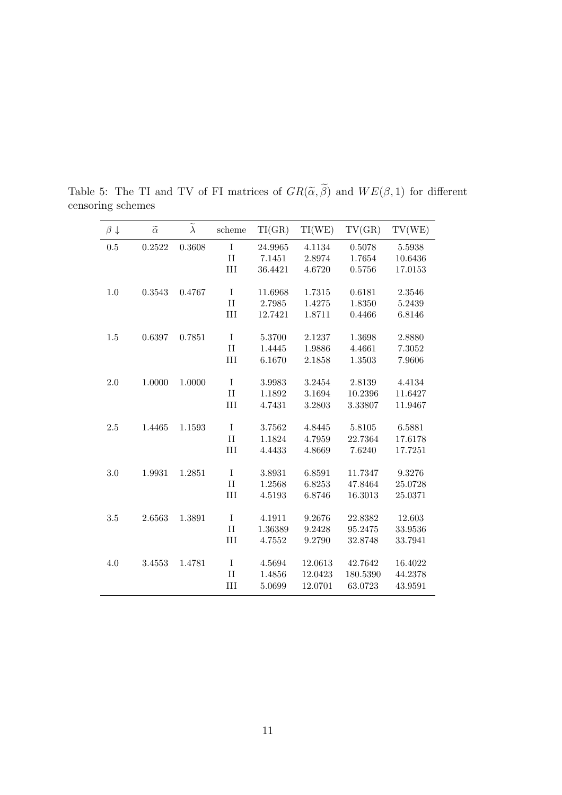| $\beta \downarrow$ | $\widetilde{\alpha}$ | $\widetilde{\lambda}$ | scheme      | TI(GR)  | TI(WE)  | TV(GR)   | TV(WE)  |
|--------------------|----------------------|-----------------------|-------------|---------|---------|----------|---------|
| 0.5                | 0.2522               | 0.3608                | $\rm I$     | 24.9965 | 4.1134  | 0.5078   | 5.5938  |
|                    |                      |                       | $\rm II$    | 7.1451  | 2.8974  | 1.7654   | 10.6436 |
|                    |                      |                       | III         | 36.4421 | 4.6720  | 0.5756   | 17.0153 |
|                    |                      |                       |             |         |         |          |         |
| 1.0                | 0.3543               | 0.4767                | $\rm I$     | 11.6968 | 1.7315  | 0.6181   | 2.3546  |
|                    |                      |                       | $\rm II$    | 2.7985  | 1.4275  | 1.8350   | 5.2439  |
|                    |                      |                       | III         | 12.7421 | 1.8711  | 0.4466   | 6.8146  |
|                    |                      |                       |             |         |         |          |         |
| 1.5                | 0.6397               | 0.7851                | $\rm I$     | 5.3700  | 2.1237  | 1.3698   | 2.8880  |
|                    |                      |                       | $\rm II$    | 1.4445  | 1.9886  | 4.4661   | 7.3052  |
|                    |                      |                       | III         | 6.1670  | 2.1858  | 1.3503   | 7.9606  |
|                    |                      |                       |             |         |         |          |         |
| 2.0                | 1.0000               | 1.0000                | $\rm I$     | 3.9983  | 3.2454  | 2.8139   | 4.4134  |
|                    |                      |                       | $\rm II$    | 1.1892  | 3.1694  | 10.2396  | 11.6427 |
|                    |                      |                       | III         | 4.7431  | 3.2803  | 3.33807  | 11.9467 |
| 2.5                | 1.4465               | 1.1593                | $\rm I$     | 3.7562  | 4.8445  | 5.8105   | 6.5881  |
|                    |                      |                       | $\rm II$    | 1.1824  | 4.7959  | 22.7364  | 17.6178 |
|                    |                      |                       | III         | 4.4433  | 4.8669  | 7.6240   | 17.7251 |
|                    |                      |                       |             |         |         |          |         |
| 3.0                | 1.9931               | 1.2851                | $\rm I$     | 3.8931  | 6.8591  | 11.7347  | 9.3276  |
|                    |                      |                       | $\rm II$    | 1.2568  | 6.8253  | 47.8464  | 25.0728 |
|                    |                      |                       | III         | 4.5193  | 6.8746  | 16.3013  | 25.0371 |
|                    |                      |                       |             |         |         |          |         |
| $3.5\,$            | 2.6563               | 1.3891                | $\rm I$     | 4.1911  | 9.2676  | 22.8382  | 12.603  |
|                    |                      |                       | $\rm II$    | 1.36389 | 9.2428  | 95.2475  | 33.9536 |
|                    |                      |                       | III         | 4.7552  | 9.2790  | 32.8748  | 33.7941 |
|                    |                      |                       |             |         |         |          |         |
| 4.0                | 3.4553               | 1.4781                | $\mathbf I$ | 4.5694  | 12.0613 | 42.7642  | 16.4022 |
|                    |                      |                       | П           | 1.4856  | 12.0423 | 180.5390 | 44.2378 |
|                    |                      |                       | III         | 5.0699  | 12.0701 | 63.0723  | 43.9591 |

Table 5: The TI and TV of FI matrices of  $GR(\tilde{\alpha}, \tilde{\beta})$  and  $WE(\beta, 1)$  for different censoring schemes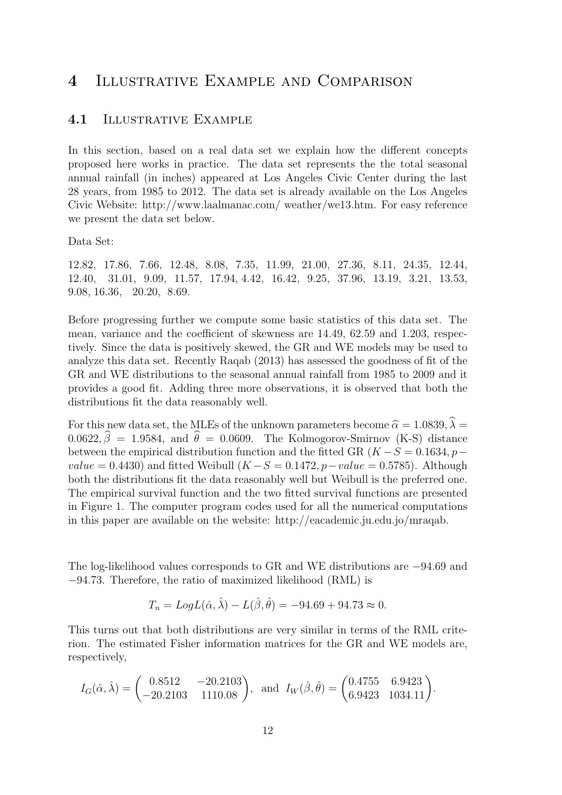## 4 Illustrative Example and Comparison

#### 4.1 ILLUSTRATIVE EXAMPLE

In this section, based on a real data set we explain how the different concepts proposed here works in practice. The data set represents the the total seasonal annual rainfall (in inches) appeared at Los Angeles Civic Center during the last 28 years, from 1985 to 2012. The data set is already available on the Los Angeles Civic Website: http://www.laalmanac.com/ weather/we13.htm. For easy reference we present the data set below.

Data Set:

12.82, 17.86, 7.66, 12.48, 8.08, 7.35, 11.99, 21.00, 27.36, 8.11, 24.35, 12.44, 12.40, 31.01, 9.09, 11.57, 17.94, 4.42, 16.42, 9.25, 37.96, 13.19, 3.21, 13.53, 9.08, 16.36, 20.20, 8.69.

Before progressing further we compute some basic statistics of this data set. The mean, variance and the coefficient of skewness are 14.49, 62.59 and 1.203, respectively. Since the data is positively skewed, the GR and WE models may be used to analyze this data set. Recently Raqab (2013) has assessed the goodness of fit of the GR and WE distributions to the seasonal annual rainfall from 1985 to 2009 and it provides a good fit. Adding three more observations, it is observed that both the distributions fit the data reasonably well.

For this new data set, the MLEs of the unknown parameters become  $\hat{\alpha} = 1.0839, \lambda =$  $0.0622, \hat{\beta} = 1.9584$ , and  $\hat{\theta} = 0.0609$ . The Kolmogorov-Smirnov (K-S) distance between the empirical distribution function and the fitted GR  $(K - S = 0.1634, p$  $value = 0.4430$  and fitted Weibull  $(K - S = 0.1472, p-value = 0.5785)$ . Although both the distributions fit the data reasonably well but Weibull is the preferred one. The empirical survival function and the two fitted survival functions are presented in Figure 1. The computer program codes used for all the numerical computations in this paper are available on the website: http://eacademic.ju.edu.jo/mraqab.

The log-likelihood values corresponds to GR and WE distributions are −94.69 and −94.73. Therefore, the ratio of maximized likelihood (RML) is

$$
T_n = Log L(\hat{\alpha}, \hat{\lambda}) - L(\hat{\beta}, \hat{\theta}) = -94.69 + 94.73 \approx 0.
$$

This turns out that both distributions are very similar in terms of the RML criterion. The estimated Fisher information matrices for the GR and WE models are, respectively,

$$
I_G(\hat{\alpha}, \hat{\lambda}) = \begin{pmatrix} 0.8512 & -20.2103 \\ -20.2103 & 1110.08 \end{pmatrix}, \text{ and } I_W(\hat{\beta}, \hat{\theta}) = \begin{pmatrix} 0.4755 & 6.9423 \\ 6.9423 & 1034.11 \end{pmatrix}.
$$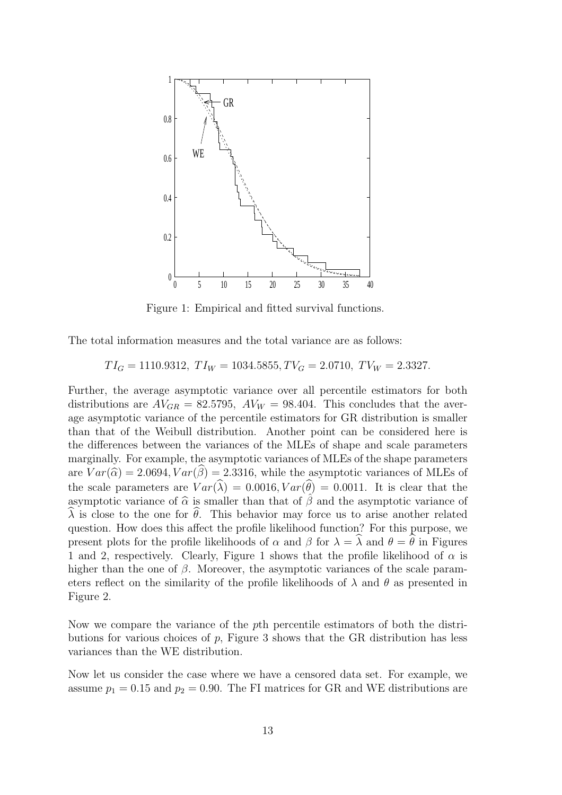

Figure 1: Empirical and fitted survival functions.

The total information measures and the total variance are as follows:

$$
TI_G = 1110.9312, \; TI_W = 1034.5855, \; TV_G = 2.0710, \; TV_W = 2.3327.
$$

Further, the average asymptotic variance over all percentile estimators for both distributions are  $AV_{GR} = 82.5795$ ,  $AV_W = 98.404$ . This concludes that the average asymptotic variance of the percentile estimators for GR distribution is smaller than that of the Weibull distribution. Another point can be considered here is the differences between the variances of the MLEs of shape and scale parameters marginally. For example, the asymptotic variances of MLEs of the shape parameters are  $Var(\hat{\alpha}) = 2.0694, Var(\hat{\beta}) = 2.3316$ , while the asymptotic variances of MLEs of the scale parameters are  $Var(\widehat{\lambda}) = 0.0016, Var(\widehat{\theta}) = 0.0011$ . It is clear that the asymptotic variance of  $\hat{\alpha}$  is smaller than that of  $\hat{\beta}$  and the asymptotic variance of  $\lambda$  is close to the one for  $\theta$ . This behavior may force us to arise another related question. How does this affect the profile likelihood function? For this purpose, we present plots for the profile likelihoods of  $\alpha$  and  $\beta$  for  $\lambda = \lambda$  and  $\theta = \hat{\theta}$  in Figures 1 and 2, respectively. Clearly, Figure 1 shows that the profile likelihood of  $\alpha$  is higher than the one of  $\beta$ . Moreover, the asymptotic variances of the scale parameters reflect on the similarity of the profile likelihoods of  $\lambda$  and  $\theta$  as presented in Figure 2.

Now we compare the variance of the pth percentile estimators of both the distributions for various choices of p, Figure 3 shows that the GR distribution has less variances than the WE distribution.

Now let us consider the case where we have a censored data set. For example, we assume  $p_1 = 0.15$  and  $p_2 = 0.90$ . The FI matrices for GR and WE distributions are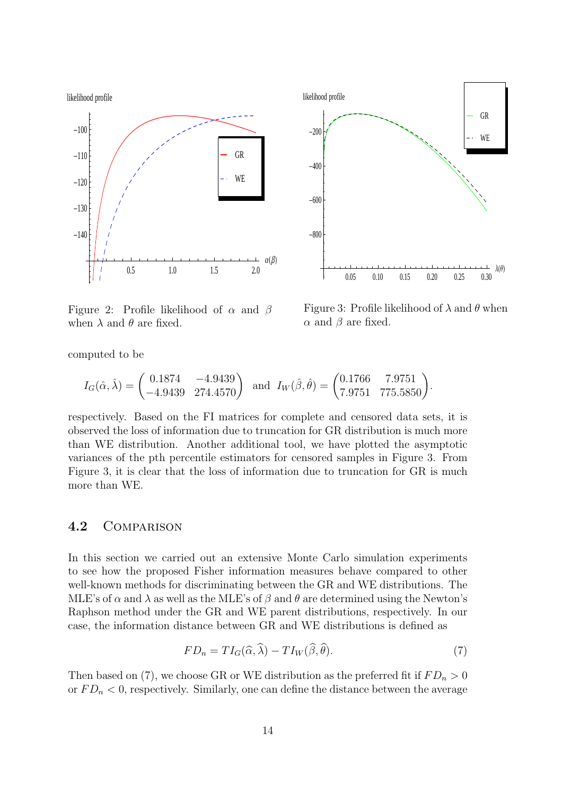



Figure 2: Profile likelihood of  $\alpha$  and  $\beta$ when  $\lambda$  and  $\theta$  are fixed.

Figure 3: Profile likelihood of  $\lambda$  and  $\theta$  when  $\alpha$  and  $\beta$  are fixed.

computed to be

$$
I_G(\hat{\alpha}, \hat{\lambda}) = \begin{pmatrix} 0.1874 & -4.9439 \\ -4.9439 & 274.4570 \end{pmatrix} \text{ and } I_W(\hat{\beta}, \hat{\theta}) = \begin{pmatrix} 0.1766 & 7.9751 \\ 7.9751 & 775.5850 \end{pmatrix}.
$$

respectively. Based on the FI matrices for complete and censored data sets, it is observed the loss of information due to truncation for GR distribution is much more than WE distribution. Another additional tool, we have plotted the asymptotic variances of the pth percentile estimators for censored samples in Figure 3. From Figure 3, it is clear that the loss of information due to truncation for GR is much more than WE.

#### 4.2 Comparison

In this section we carried out an extensive Monte Carlo simulation experiments to see how the proposed Fisher information measures behave compared to other well-known methods for discriminating between the GR and WE distributions. The MLE's of  $\alpha$  and  $\lambda$  as well as the MLE's of  $\beta$  and  $\theta$  are determined using the Newton's Raphson method under the GR and WE parent distributions, respectively. In our case, the information distance between GR and WE distributions is defined as

$$
FD_n = TI_G(\widehat{\alpha}, \widehat{\lambda}) - TI_W(\widehat{\beta}, \widehat{\theta}).
$$
\n(7)

Then based on (7), we choose GR or WE distribution as the preferred fit if  $FD_n > 0$ or  $FD_n < 0$ , respectively. Similarly, one can define the distance between the average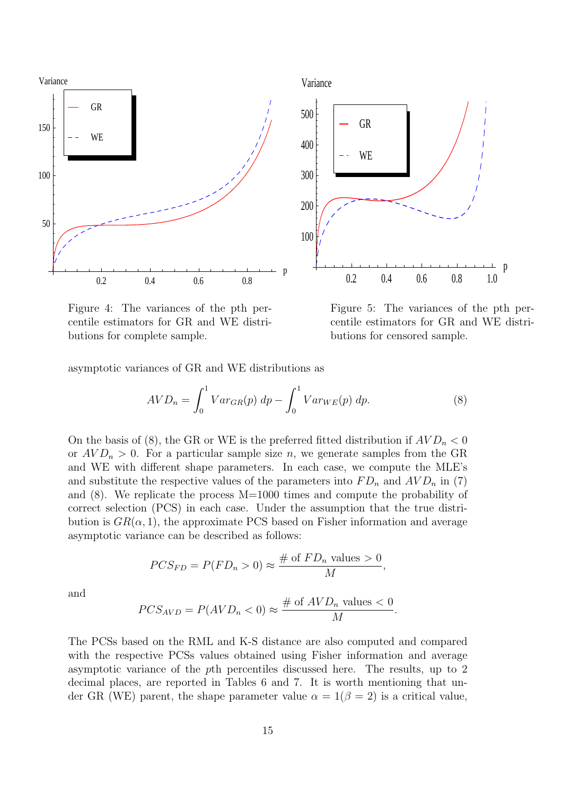

Figure 4: The variances of the pth percentile estimators for GR and WE distributions for complete sample.

Figure 5: The variances of the pth percentile estimators for GR and WE distributions for censored sample.

asymptotic variances of GR and WE distributions as

$$
AVD_n = \int_0^1 Var_{GR}(p) dp - \int_0^1 Var_{WE}(p) dp.
$$
 (8)

On the basis of (8), the GR or WE is the preferred fitted distribution if  $AVD_n < 0$ or  $AVD_n > 0$ . For a particular sample size n, we generate samples from the GR and WE with different shape parameters. In each case, we compute the MLE's and substitute the respective values of the parameters into  $FD_n$  and  $AVD_n$  in (7) and (8). We replicate the process M=1000 times and compute the probability of correct selection (PCS) in each case. Under the assumption that the true distribution is  $GR(\alpha, 1)$ , the approximate PCS based on Fisher information and average asymptotic variance can be described as follows:

$$
PCS_{FD} = P(FD_n > 0) \approx \frac{\text{\# of } FD_n \text{ values } > 0}{M},
$$

and

$$
PCS_{AVD} = P(AVD_n < 0) \approx \frac{\text{\# of } AVD_n \text{ values} < 0}{M}.
$$

The PCSs based on the RML and K-S distance are also computed and compared with the respective PCSs values obtained using Fisher information and average asymptotic variance of the pth percentiles discussed here. The results, up to 2 decimal places, are reported in Tables 6 and 7. It is worth mentioning that under GR (WE) parent, the shape parameter value  $\alpha = 1(\beta = 2)$  is a critical value,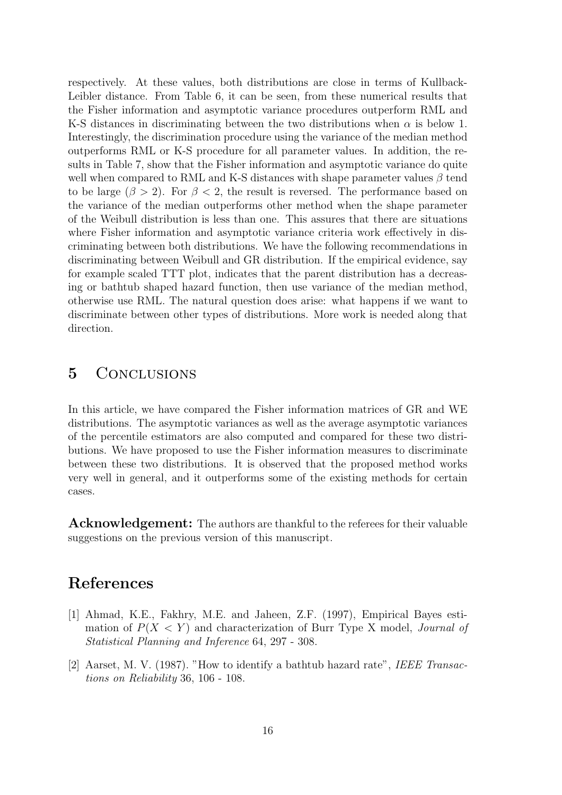respectively. At these values, both distributions are close in terms of Kullback-Leibler distance. From Table 6, it can be seen, from these numerical results that the Fisher information and asymptotic variance procedures outperform RML and K-S distances in discriminating between the two distributions when  $\alpha$  is below 1. Interestingly, the discrimination procedure using the variance of the median method outperforms RML or K-S procedure for all parameter values. In addition, the results in Table 7, show that the Fisher information and asymptotic variance do quite well when compared to RML and K-S distances with shape parameter values  $\beta$  tend to be large ( $\beta > 2$ ). For  $\beta < 2$ , the result is reversed. The performance based on the variance of the median outperforms other method when the shape parameter of the Weibull distribution is less than one. This assures that there are situations where Fisher information and asymptotic variance criteria work effectively in discriminating between both distributions. We have the following recommendations in discriminating between Weibull and GR distribution. If the empirical evidence, say for example scaled TTT plot, indicates that the parent distribution has a decreasing or bathtub shaped hazard function, then use variance of the median method, otherwise use RML. The natural question does arise: what happens if we want to discriminate between other types of distributions. More work is needed along that direction.

### 5 Conclusions

In this article, we have compared the Fisher information matrices of GR and WE distributions. The asymptotic variances as well as the average asymptotic variances of the percentile estimators are also computed and compared for these two distributions. We have proposed to use the Fisher information measures to discriminate between these two distributions. It is observed that the proposed method works very well in general, and it outperforms some of the existing methods for certain cases.

Acknowledgement: The authors are thankful to the referees for their valuable suggestions on the previous version of this manuscript.

# References

- [1] Ahmad, K.E., Fakhry, M.E. and Jaheen, Z.F. (1997), Empirical Bayes estimation of P(X < Y ) and characterization of Burr Type X model, *Journal of Statistical Planning and Inference* 64, 297 - 308.
- [2] Aarset, M. V. (1987). "How to identify a bathtub hazard rate", *IEEE Transactions on Reliability* 36, 106 - 108.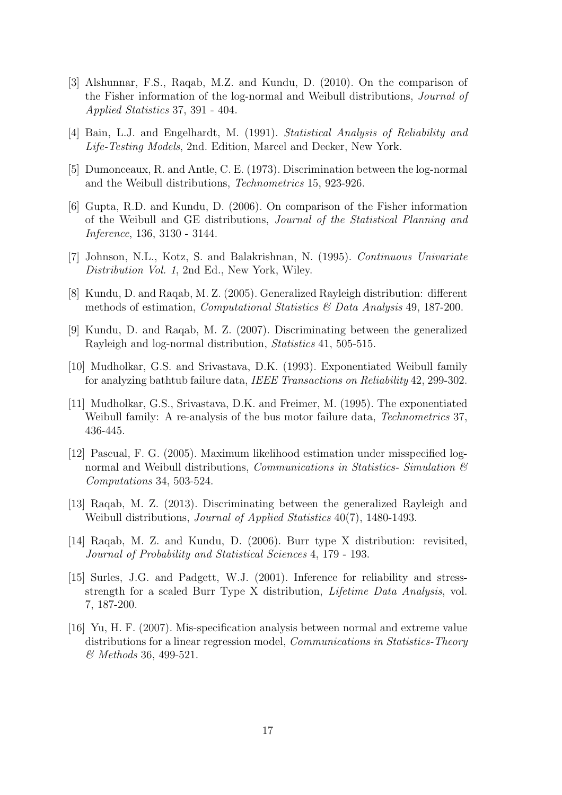- [3] Alshunnar, F.S., Raqab, M.Z. and Kundu, D. (2010). On the comparison of the Fisher information of the log-normal and Weibull distributions, *Journal of Applied Statistics* 37, 391 - 404.
- [4] Bain, L.J. and Engelhardt, M. (1991). *Statistical Analysis of Reliability and Life-Testing Models*, 2nd. Edition, Marcel and Decker, New York.
- [5] Dumonceaux, R. and Antle, C. E. (1973). Discrimination between the log-normal and the Weibull distributions, *Technometrics* 15, 923-926.
- [6] Gupta, R.D. and Kundu, D. (2006). On comparison of the Fisher information of the Weibull and GE distributions, *Journal of the Statistical Planning and Inference*, 136, 3130 - 3144.
- [7] Johnson, N.L., Kotz, S. and Balakrishnan, N. (1995). *Continuous Univariate Distribution Vol. 1*, 2nd Ed., New York, Wiley.
- [8] Kundu, D. and Raqab, M. Z. (2005). Generalized Rayleigh distribution: different methods of estimation, *Computational Statistics & Data Analysis* 49, 187-200.
- [9] Kundu, D. and Raqab, M. Z. (2007). Discriminating between the generalized Rayleigh and log-normal distribution, *Statistics* 41, 505-515.
- [10] Mudholkar, G.S. and Srivastava, D.K. (1993). Exponentiated Weibull family for analyzing bathtub failure data, *IEEE Transactions on Reliability* 42, 299-302.
- [11] Mudholkar, G.S., Srivastava, D.K. and Freimer, M. (1995). The exponentiated Weibull family: A re-analysis of the bus motor failure data, *Technometrics* 37, 436-445.
- [12] Pascual, F. G. (2005). Maximum likelihood estimation under misspecified lognormal and Weibull distributions, *Communications in Statistics- Simulation & Computations* 34, 503-524.
- [13] Raqab, M. Z. (2013). Discriminating between the generalized Rayleigh and Weibull distributions, *Journal of Applied Statistics* 40(7), 1480-1493.
- [14] Raqab, M. Z. and Kundu, D. (2006). Burr type X distribution: revisited, *Journal of Probability and Statistical Sciences* 4, 179 - 193.
- [15] Surles, J.G. and Padgett, W.J. (2001). Inference for reliability and stressstrength for a scaled Burr Type X distribution, *Lifetime Data Analysis*, vol. 7, 187-200.
- [16] Yu, H. F. (2007). Mis-specification analysis between normal and extreme value distributions for a linear regression model, *Communications in Statistics-Theory & Methods* 36, 499-521.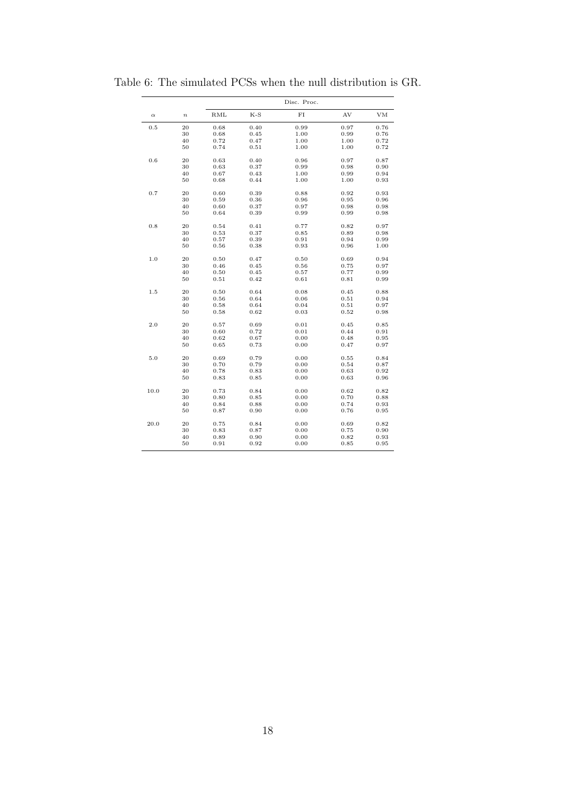|          |                  |      | Disc. Proc. |      |           |      |  |  |
|----------|------------------|------|-------------|------|-----------|------|--|--|
| $\alpha$ | $\boldsymbol{n}$ | RML  | K-S         | FI   | AV        | VМ   |  |  |
| 0.5      | 20               | 0.68 | 0.40        | 0.99 | 0.97      | 0.76 |  |  |
|          | 30               | 0.68 | 0.45        | 1.00 | 0.99      | 0.76 |  |  |
|          | 40               | 0.72 | 0.47        | 1.00 | 1.00      | 0.72 |  |  |
|          | 50               | 0.74 | 0.51        | 1.00 | 1.00      | 0.72 |  |  |
| 0.6      | 20               | 0.63 | 0.40        | 0.96 | 0.97      | 0.87 |  |  |
|          | 30               | 0.63 | 0.37        | 0.99 | 0.98      | 0.90 |  |  |
|          | 40               | 0.67 | 0.43        | 1.00 | 0.99      | 0.94 |  |  |
|          | 50               | 0.68 | 0.44        | 1.00 | 1.00      | 0.93 |  |  |
| 0.7      | 20               | 0.60 | 0.39        | 0.88 | 0.92      | 0.93 |  |  |
|          | 30               | 0.59 | $\rm 0.36$  | 0.96 | 0.95      | 0.96 |  |  |
|          | 40               | 0.60 | 0.37        | 0.97 | 0.98      | 0.98 |  |  |
|          | 50               | 0.64 | 0.39        | 0.99 | 0.99      | 0.98 |  |  |
| 0.8      | 20               | 0.54 | 0.41        | 0.77 | 0.82      | 0.97 |  |  |
|          | 30               | 0.53 | 0.37        | 0.85 | 0.89      | 0.98 |  |  |
|          | 40               | 0.57 | 0.39        | 0.91 | 0.94      | 0.99 |  |  |
|          | 50               | 0.56 | 0.38        | 0.93 | 0.96      | 1.00 |  |  |
| 1.0      | 20               | 0.50 | 0.47        | 0.50 | 0.69      | 0.94 |  |  |
|          | 30               | 0.46 | 0.45        | 0.56 | 0.75      | 0.97 |  |  |
|          | 40               | 0.50 | 0.45        | 0.57 | 0.77      | 0.99 |  |  |
|          | 50               | 0.51 | 0.42        | 0.61 | 0.81      | 0.99 |  |  |
| 1.5      | 20               | 0.50 | 0.64        | 0.08 | 0.45      | 0.88 |  |  |
|          | 30               | 0.56 | 0.64        | 0.06 | 0.51      | 0.94 |  |  |
|          | 40               | 0.58 | 0.64        | 0.04 | 0.51      | 0.97 |  |  |
|          | 50               | 0.58 | 0.62        | 0.03 | 0.52      | 0.98 |  |  |
| 2.0      | 20               | 0.57 | 0.69        | 0.01 | 0.45      | 0.85 |  |  |
|          | 30               | 0.60 | 0.72        | 0.01 | 0.44      | 0.91 |  |  |
|          | 40               | 0.62 | 0.67        | 0.00 | 0.48      | 0.95 |  |  |
|          | 50               | 0.65 | 0.73        | 0.00 | 0.47      | 0.97 |  |  |
| 5.0      | 20               | 0.69 | 0.79        | 0.00 | 0.55      | 0.84 |  |  |
|          | 30               | 0.70 | 0.79        | 0.00 | 0.54      | 0.87 |  |  |
|          | 40               | 0.78 | 0.83        | 0.00 | 0.63      | 0.92 |  |  |
|          | 50               | 0.83 | 0.85        | 0.00 | 0.63      | 0.96 |  |  |
| 10.0     | 20               | 0.73 | 0.84        | 0.00 | $_{0.62}$ | 0.82 |  |  |
|          | 30               | 0.80 | 0.85        | 0.00 | 0.70      | 0.88 |  |  |
|          | 40               | 0.84 | 0.88        | 0.00 | 0.74      | 0.93 |  |  |
|          | 50               | 0.87 | 0.90        | 0.00 | 0.76      | 0.95 |  |  |
| 20.0     | 20               | 0.75 | 0.84        | 0.00 | 0.69      | 0.82 |  |  |
|          | 30               | 0.83 | 0.87        | 0.00 | 0.75      | 0.90 |  |  |
|          | 40               | 0.89 | 0.90        | 0.00 | $_{0.82}$ | 0.93 |  |  |
|          | 50               | 0.91 | 0.92        | 0.00 | 0.85      | 0.95 |  |  |

Table 6: The simulated PCSs when the null distribution is GR.